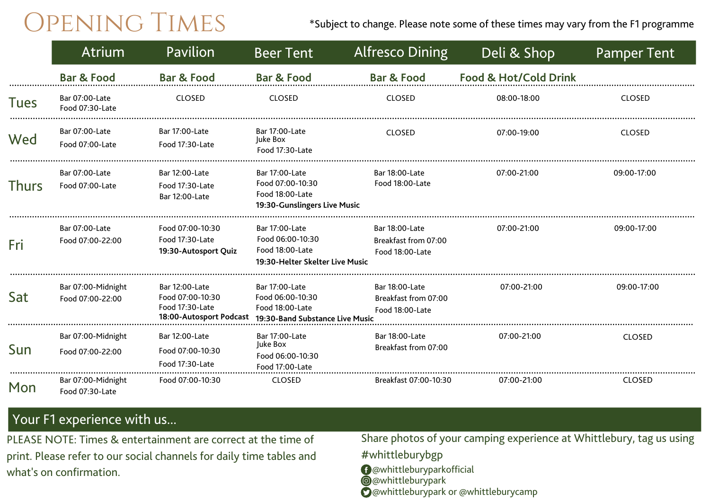$\overline{OPENING}$  TIMES \*Subject to change. Please note some of these times may vary from the F1 programme

|              | Atrium                                 | Pavilion                                                                         | <b>Beer Tent</b>                                                                         | <b>Alfresco Dining</b>                                    | Deli & Shop           | <b>Pamper Tent</b> |
|--------------|----------------------------------------|----------------------------------------------------------------------------------|------------------------------------------------------------------------------------------|-----------------------------------------------------------|-----------------------|--------------------|
|              | <b>Bar &amp; Food</b>                  | <b>Bar &amp; Food</b>                                                            | <b>Bar &amp; Food</b>                                                                    | <b>Bar &amp; Food</b>                                     | Food & Hot/Cold Drink |                    |
| <b>Tues</b>  | Bar 07:00-Late<br>Food 07:30-Late      | <b>CLOSED</b>                                                                    | <b>CLOSED</b>                                                                            | <b>CLOSED</b>                                             | 08:00-18:00           | <b>CLOSED</b>      |
| Wed          | Bar 07:00-Late<br>Food 07:00-Late      | Bar 17:00-Late<br>Food 17:30-Late                                                | Bar 17:00-Late<br>Juke Box<br>Food 17:30-Late                                            | <b>CLOSED</b>                                             | 07:00-19:00           | <b>CLOSED</b>      |
| <b>Thurs</b> | Bar 07:00-Late<br>Food 07:00-Late      | Bar 12:00-Late<br>Food 17:30-Late<br>Bar 12:00-Late                              | Bar 17:00-Late<br>Food 07:00-10:30<br>Food 18:00-Late<br>19:30-Gunslingers Live Music    | Bar 18:00-Late<br>Food 18:00-Late                         | 07:00-21:00           | 09:00-17:00        |
| Fri          | Bar 07:00-Late<br>Food 07:00-22:00     | Food 07:00-10:30<br>Food 17:30-Late<br>19:30-Autosport Quiz                      | Bar 17:00-Late<br>Food 06:00-10:30<br>Food 18:00-Late<br>19:30-Helter Skelter Live Music | Bar 18:00-Late<br>Breakfast from 07:00<br>Food 18:00-Late | 07:00-21:00           | 09:00-17:00        |
| Sat          | Bar 07:00-Midnight<br>Food 07:00-22:00 | Bar 12:00-Late<br>Food 07:00-10:30<br>Food 17:30-Late<br>18:00-Autosport Podcast | Bar 17:00-Late<br>Food 06:00-10:30<br>Food 18:00-Late<br>19:30-Band Substance Live Music | Bar 18:00-Late<br>Breakfast from 07:00<br>Food 18:00-Late | 07:00-21:00           | 09:00-17:00        |
| Sun          | Bar 07:00-Midnight<br>Food 07:00-22:00 | Bar 12:00-Late<br>Food 07:00-10:30<br>Food 17:30-Late                            | Bar 17:00-Late<br>Juke Box<br>Food 06:00-10:30<br>Food 17:00-Late                        | Bar 18:00-Late<br>Breakfast from 07:00                    | 07:00-21:00           | <b>CLOSED</b>      |
| Mon          | Bar 07:00-Midnight<br>Food 07:30-Late  | Food 07:00-10:30                                                                 | <b>CLOSED</b>                                                                            | Breakfast 07:00-10:30                                     | 07:00-21:00           | <b>CLOSED</b>      |

## Your F1 experience with us...

PLEASE NOTE: Times & entertainment are correct at the time of print. Please refer to our social channels for daily time tables and what's on confirmation.

Share photos of your camping experience at Whittlebury, tag us using

- #whittleburybgp @whittleburyparkofficial
- **@**@whittleburypark
- **O**@whittleburypark or @whittleburycamp